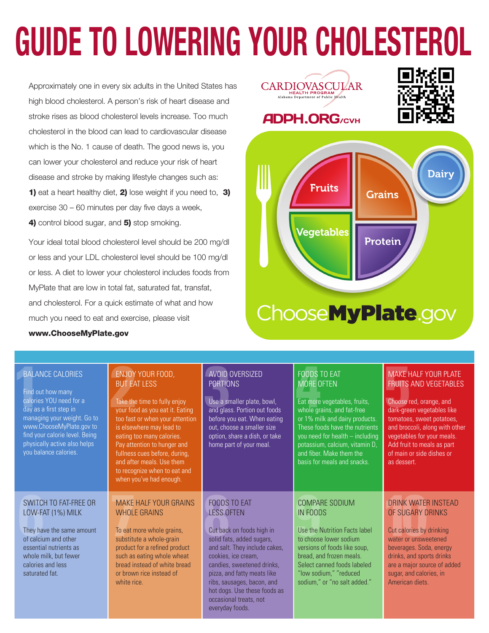# **GUIDE TO LOWERING YOUR CHOLESTEROL**

Approximately one in every six adults in the United States has high blood cholesterol. A person's risk of heart disease and stroke rises as blood cholesterol levels increase. Too much cholesterol in the blood can lead to cardiovascular disease which is the No. 1 cause of death. The good news is, you can lower your cholesterol and reduce your risk of heart disease and stroke by making lifestyle changes such as: 1) eat a heart healthy diet, 2) lose weight if you need to, 3) exercise 30 – 60 minutes per day five days a week, 4) control blood sugar, and 5) stop smoking.

Your ideal total blood cholesterol level should be 200 mg/dl or less and your LDL cholesterol level should be 100 mg/dl or less. A diet to lower your cholesterol includes foods from MyPlate that are low in total fat, saturated fat, transfat, and cholesterol. For a quick estimate of what and how much you need to eat and exercise, please visit

www.ChooseMyPlate.gov







#### BALANCE CALORIES

**1 2 3 4 5** Find out how many calories YOU need for a day as a first step in managing your weight. Go to www.ChooseMyPlate.gov to find your calorie level. Being physically active also helps you balance calories.

#### SWITCH TO FAT-FREE OR LOW-FAT (1%) MILK

They have the same amount of calcium and other essential nutrients as whole milk, but fewer calories and less saturated fat.

#### ENJOY YOUR FOOD, BUT EAT LESS

Take the time to fully enjoy your food as you eat it. Eating too fast or when your attention is elsewhere may lead to eating too many calories. Pay attention to hunger and fullness cues before, during, and after meals. Use them to recognize when to eat and when you've had enough.

#### MAKE HALF YOUR GRAINS WHOLE GRAINS

To eat more whole grains, substitute a whole-grain product for a refined product such as eating whole wheat bread instead of white bread or brown rice instead of white rice

#### AVOID OVERSIZED PORTIONS

Use a smaller plate, bowl, and glass. Portion out foods before you eat. When eating out, choose a smaller size option, share a dish, or take home part of your meal.

#### FOODS TO EAT LESS OFTEN

Cut back on foods high in solid fats, added sugars, and salt. They include cakes, cookies, ice cream, candies, sweetened drinks, pizza, and fatty meats like ribs, sausages, bacon, and hot dogs. Use these foods as occasional treats, not everyday foods.

#### FOODS TO EAT MORE OFTEN

Eat more vegetables, fruits, whole grains, and fat-free or 1% milk and dairy products. These foods have the nutrients you need for health – including potassium, calcium, vitamin D, and fiber. Make them the basis for meals and snacks.

#### COMPARE SODIUM IN FOODS

**EXECUTE BY SWITCH TO FAT-FREE OR<br>
LOW-FAT (1%) MILK<br>
They have the same amount<br>
<b>FOODS TO EAT**<br> **ESS OFTEN**<br>
They have the same amount<br>
To eat more whole grain<br> **ESS OFTEN**<br>
Cut back on foods high in<br>
Solid fats, added su Use the Nutrition Facts label to choose lower sodium versions of foods like soup, bread, and frozen meals. Select canned foods labeled "low sodium," "reduced sodium," or "no salt added."

#### MAKE HALF YOUR PLATE FRUITS AND VEGETABLES

Choose red, orange, and dark-green vegetables like tomatoes, sweet potatoes, and broccoli, along with other vegetables for your meals. Add fruit to meals as part of main or side dishes or as dessert.

#### DRINK WATER INSTEAD OF SUGARY DRINKS

Cut calories by drinking water or unsweetened beverages. Soda, energy drinks, and sports drinks are a major source of added sugar, and calories, in American diets.